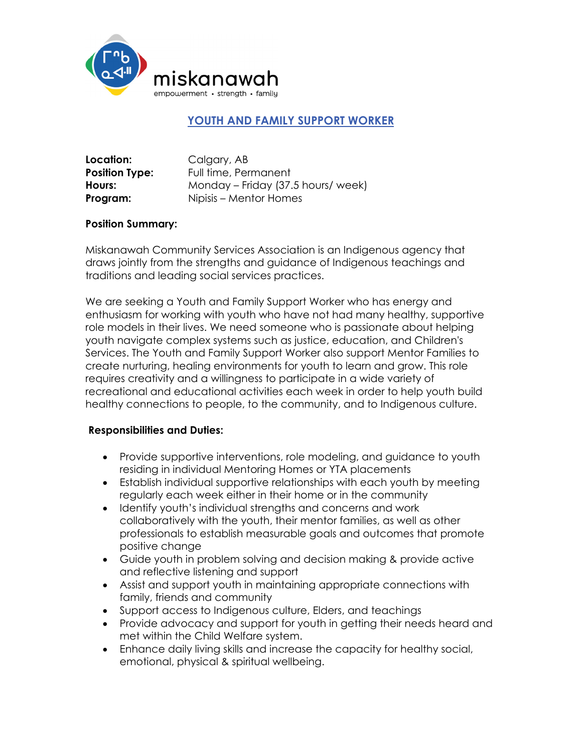

# **YOUTH AND FAMILY SUPPORT WORKER**

| Location:             | Calgary, AB                       |
|-----------------------|-----------------------------------|
| <b>Position Type:</b> | Full time, Permanent              |
| Hours:                | Monday – Friday (37.5 hours/week) |
| Program:              | Nipisis – Mentor Homes            |

### **Position Summary:**

Miskanawah Community Services Association is an Indigenous agency that draws jointly from the strengths and guidance of Indigenous teachings and traditions and leading social services practices.

We are seeking a Youth and Family Support Worker who has energy and enthusiasm for working with youth who have not had many healthy, supportive role models in their lives. We need someone who is passionate about helping youth navigate complex systems such as justice, education, and Children's Services. The Youth and Family Support Worker also support Mentor Families to create nurturing, healing environments for youth to learn and grow. This role requires creativity and a willingness to participate in a wide variety of recreational and educational activities each week in order to help youth build healthy connections to people, to the community, and to Indigenous culture.

### **Responsibilities and Duties:**

- Provide supportive interventions, role modeling, and guidance to youth residing in individual Mentoring Homes or YTA placements
- Establish individual supportive relationships with each youth by meeting regularly each week either in their home or in the community
- Identify youth's individual strengths and concerns and work collaboratively with the youth, their mentor families, as well as other professionals to establish measurable goals and outcomes that promote positive change
- Guide youth in problem solving and decision making & provide active and reflective listening and support
- Assist and support youth in maintaining appropriate connections with family, friends and community
- Support access to Indigenous culture, Elders, and teachings
- Provide advocacy and support for youth in getting their needs heard and met within the Child Welfare system.
- Enhance daily living skills and increase the capacity for healthy social, emotional, physical & spiritual wellbeing.